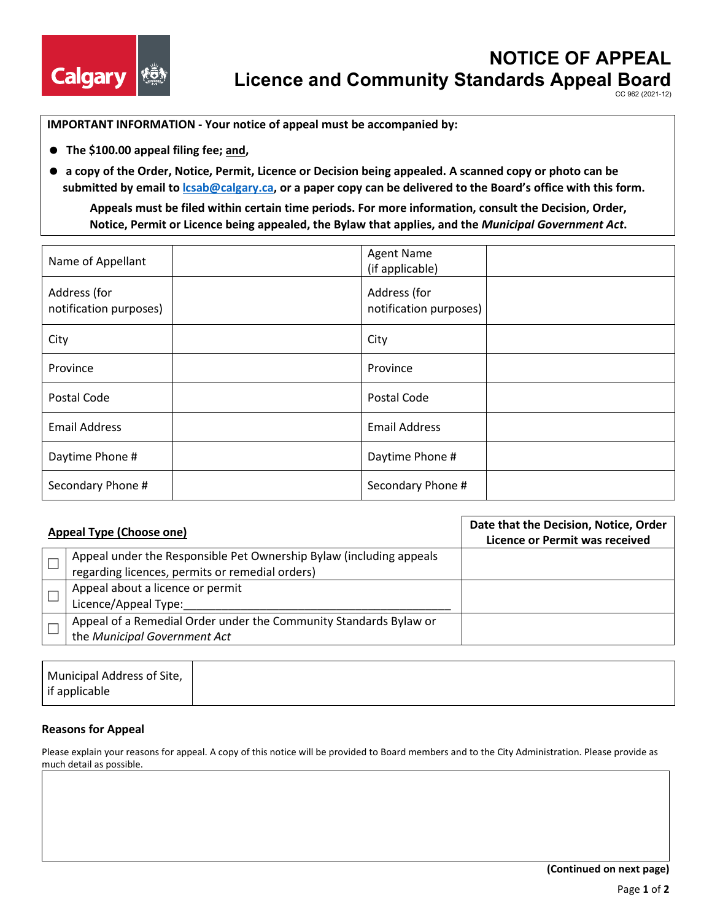

CC 962 (2021-12)

**IMPORTANT INFORMATION - Your notice of appeal must be accompanied by:**

- **The \$100.00 appeal filing fee; and,**
- **a copy of the Order, Notice, Permit, Licence or Decision being appealed. A scanned copy or photo can be submitted by email to [lcsab@calgary.ca,](mailto:lcsab@calgary.ca) or a paper copy can be delivered to the Board's office with this form. Appeals must be filed within certain time periods. For more information, consult the Decision, Order,**

**Notice, Permit or Licence being appealed, the Bylaw that applies, and the** *Municipal Government Act***.** 

| Name of Appellant                      | <b>Agent Name</b><br>(if applicable)   |
|----------------------------------------|----------------------------------------|
| Address (for<br>notification purposes) | Address (for<br>notification purposes) |
| City                                   | City                                   |
| Province                               | Province                               |
| Postal Code                            | Postal Code                            |
| <b>Email Address</b>                   | <b>Email Address</b>                   |
| Daytime Phone #                        | Daytime Phone #                        |
| Secondary Phone #                      | Secondary Phone #                      |

| <b>Appeal Type (Choose one)</b>                                     | Date that the Decision, Notice, Order<br><b>Licence or Permit was received</b> |
|---------------------------------------------------------------------|--------------------------------------------------------------------------------|
| Appeal under the Responsible Pet Ownership Bylaw (including appeals |                                                                                |
| regarding licences, permits or remedial orders)                     |                                                                                |
| Appeal about a licence or permit                                    |                                                                                |
| Licence/Appeal Type:                                                |                                                                                |
| Appeal of a Remedial Order under the Community Standards Bylaw or   |                                                                                |
| the Municipal Government Act                                        |                                                                                |

| Municipal Address of Site, |  |  |  |
|----------------------------|--|--|--|
| if applicable              |  |  |  |

# **Reasons for Appeal**

Please explain your reasons for appeal. A copy of this notice will be provided to Board members and to the City Administration. Please provide as much detail as possible.